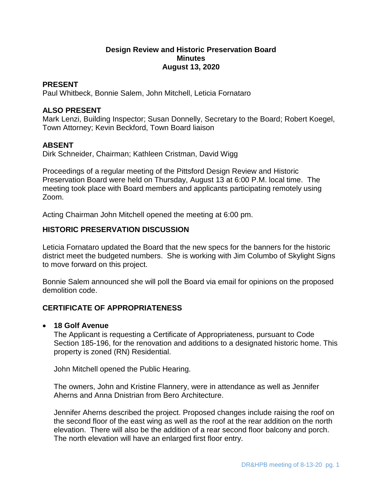## **Design Review and Historic Preservation Board Minutes August 13, 2020**

#### **PRESENT**

Paul Whitbeck, Bonnie Salem, John Mitchell, Leticia Fornataro

#### **ALSO PRESENT**

Mark Lenzi, Building Inspector; Susan Donnelly, Secretary to the Board; Robert Koegel, Town Attorney; Kevin Beckford, Town Board liaison

#### **ABSENT**

Dirk Schneider, Chairman; Kathleen Cristman, David Wigg

Proceedings of a regular meeting of the Pittsford Design Review and Historic Preservation Board were held on Thursday, August 13 at 6:00 P.M. local time. The meeting took place with Board members and applicants participating remotely using Zoom.

Acting Chairman John Mitchell opened the meeting at 6:00 pm.

#### **HISTORIC PRESERVATION DISCUSSION**

Leticia Fornataro updated the Board that the new specs for the banners for the historic district meet the budgeted numbers. She is working with Jim Columbo of Skylight Signs to move forward on this project.

Bonnie Salem announced she will poll the Board via email for opinions on the proposed demolition code.

## **CERTIFICATE OF APPROPRIATENESS**

#### **18 Golf Avenue**

The Applicant is requesting a Certificate of Appropriateness, pursuant to Code Section 185-196, for the renovation and additions to a designated historic home. This property is zoned (RN) Residential.

John Mitchell opened the Public Hearing.

The owners, John and Kristine Flannery, were in attendance as well as Jennifer Aherns and Anna Dnistrian from Bero Architecture.

Jennifer Aherns described the project. Proposed changes include raising the roof on the second floor of the east wing as well as the roof at the rear addition on the north elevation. There will also be the addition of a rear second floor balcony and porch. The north elevation will have an enlarged first floor entry.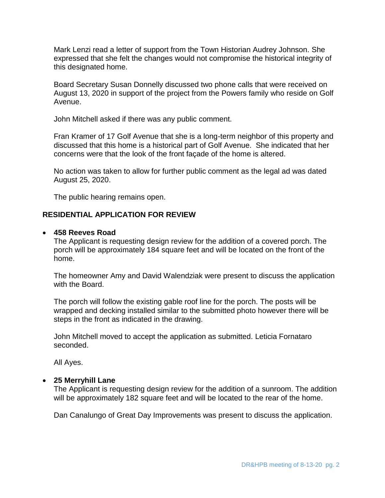Mark Lenzi read a letter of support from the Town Historian Audrey Johnson. She expressed that she felt the changes would not compromise the historical integrity of this designated home.

Board Secretary Susan Donnelly discussed two phone calls that were received on August 13, 2020 in support of the project from the Powers family who reside on Golf Avenue.

John Mitchell asked if there was any public comment.

Fran Kramer of 17 Golf Avenue that she is a long-term neighbor of this property and discussed that this home is a historical part of Golf Avenue. She indicated that her concerns were that the look of the front façade of the home is altered.

No action was taken to allow for further public comment as the legal ad was dated August 25, 2020.

The public hearing remains open.

# **RESIDENTIAL APPLICATION FOR REVIEW**

## **458 Reeves Road**

The Applicant is requesting design review for the addition of a covered porch. The porch will be approximately 184 square feet and will be located on the front of the home.

The homeowner Amy and David Walendziak were present to discuss the application with the Board.

The porch will follow the existing gable roof line for the porch. The posts will be wrapped and decking installed similar to the submitted photo however there will be steps in the front as indicated in the drawing.

John Mitchell moved to accept the application as submitted. Leticia Fornataro seconded.

All Ayes.

#### **25 Merryhill Lane**

The Applicant is requesting design review for the addition of a sunroom. The addition will be approximately 182 square feet and will be located to the rear of the home.

Dan Canalungo of Great Day Improvements was present to discuss the application.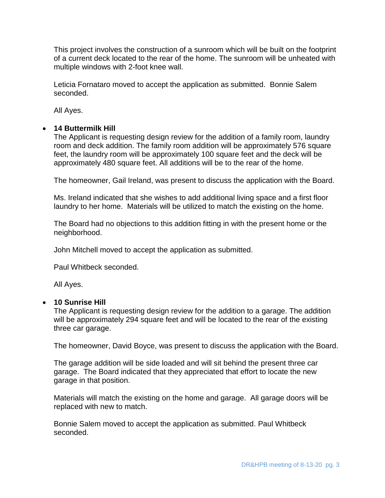This project involves the construction of a sunroom which will be built on the footprint of a current deck located to the rear of the home. The sunroom will be unheated with multiple windows with 2-foot knee wall.

Leticia Fornataro moved to accept the application as submitted. Bonnie Salem seconded.

All Ayes.

## **14 Buttermilk Hill**

The Applicant is requesting design review for the addition of a family room, laundry room and deck addition. The family room addition will be approximately 576 square feet, the laundry room will be approximately 100 square feet and the deck will be approximately 480 square feet. All additions will be to the rear of the home.

The homeowner, Gail Ireland, was present to discuss the application with the Board.

Ms. Ireland indicated that she wishes to add additional living space and a first floor laundry to her home. Materials will be utilized to match the existing on the home.

The Board had no objections to this addition fitting in with the present home or the neighborhood.

John Mitchell moved to accept the application as submitted.

Paul Whitbeck seconded.

All Ayes.

#### **10 Sunrise Hill**

The Applicant is requesting design review for the addition to a garage. The addition will be approximately 294 square feet and will be located to the rear of the existing three car garage.

The homeowner, David Boyce, was present to discuss the application with the Board.

The garage addition will be side loaded and will sit behind the present three car garage. The Board indicated that they appreciated that effort to locate the new garage in that position.

Materials will match the existing on the home and garage. All garage doors will be replaced with new to match.

Bonnie Salem moved to accept the application as submitted. Paul Whitbeck seconded.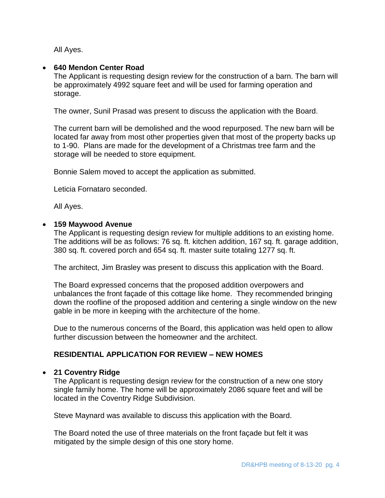All Ayes.

# **640 Mendon Center Road**

The Applicant is requesting design review for the construction of a barn. The barn will be approximately 4992 square feet and will be used for farming operation and storage.

The owner, Sunil Prasad was present to discuss the application with the Board.

The current barn will be demolished and the wood repurposed. The new barn will be located far away from most other properties given that most of the property backs up to 1-90. Plans are made for the development of a Christmas tree farm and the storage will be needed to store equipment.

Bonnie Salem moved to accept the application as submitted.

Leticia Fornataro seconded.

All Ayes.

## **159 Maywood Avenue**

The Applicant is requesting design review for multiple additions to an existing home. The additions will be as follows: 76 sq. ft. kitchen addition, 167 sq. ft. garage addition, 380 sq. ft. covered porch and 654 sq. ft. master suite totaling 1277 sq. ft.

The architect, Jim Brasley was present to discuss this application with the Board.

The Board expressed concerns that the proposed addition overpowers and unbalances the front façade of this cottage like home. They recommended bringing down the roofline of the proposed addition and centering a single window on the new gable in be more in keeping with the architecture of the home.

Due to the numerous concerns of the Board, this application was held open to allow further discussion between the homeowner and the architect.

## **RESIDENTIAL APPLICATION FOR REVIEW – NEW HOMES**

## **21 Coventry Ridge**

The Applicant is requesting design review for the construction of a new one story single family home. The home will be approximately 2086 square feet and will be located in the Coventry Ridge Subdivision.

Steve Maynard was available to discuss this application with the Board.

The Board noted the use of three materials on the front façade but felt it was mitigated by the simple design of this one story home.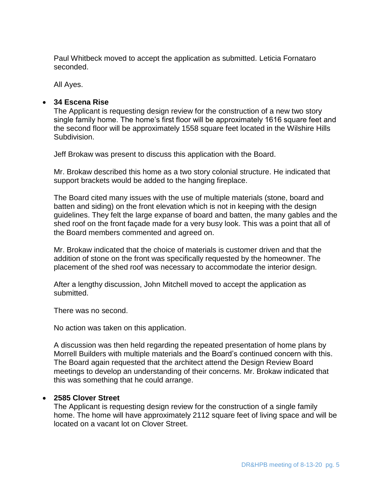Paul Whitbeck moved to accept the application as submitted. Leticia Fornataro seconded.

All Ayes.

# **34 Escena Rise**

The Applicant is requesting design review for the construction of a new two story single family home. The home's first floor will be approximately 1616 square feet and the second floor will be approximately 1558 square feet located in the Wilshire Hills Subdivision.

Jeff Brokaw was present to discuss this application with the Board.

Mr. Brokaw described this home as a two story colonial structure. He indicated that support brackets would be added to the hanging fireplace.

The Board cited many issues with the use of multiple materials (stone, board and batten and siding) on the front elevation which is not in keeping with the design guidelines. They felt the large expanse of board and batten, the many gables and the shed roof on the front façade made for a very busy look. This was a point that all of the Board members commented and agreed on.

Mr. Brokaw indicated that the choice of materials is customer driven and that the addition of stone on the front was specifically requested by the homeowner. The placement of the shed roof was necessary to accommodate the interior design.

After a lengthy discussion, John Mitchell moved to accept the application as submitted.

There was no second.

No action was taken on this application.

A discussion was then held regarding the repeated presentation of home plans by Morrell Builders with multiple materials and the Board's continued concern with this. The Board again requested that the architect attend the Design Review Board meetings to develop an understanding of their concerns. Mr. Brokaw indicated that this was something that he could arrange.

## **2585 Clover Street**

The Applicant is requesting design review for the construction of a single family home. The home will have approximately 2112 square feet of living space and will be located on a vacant lot on Clover Street.